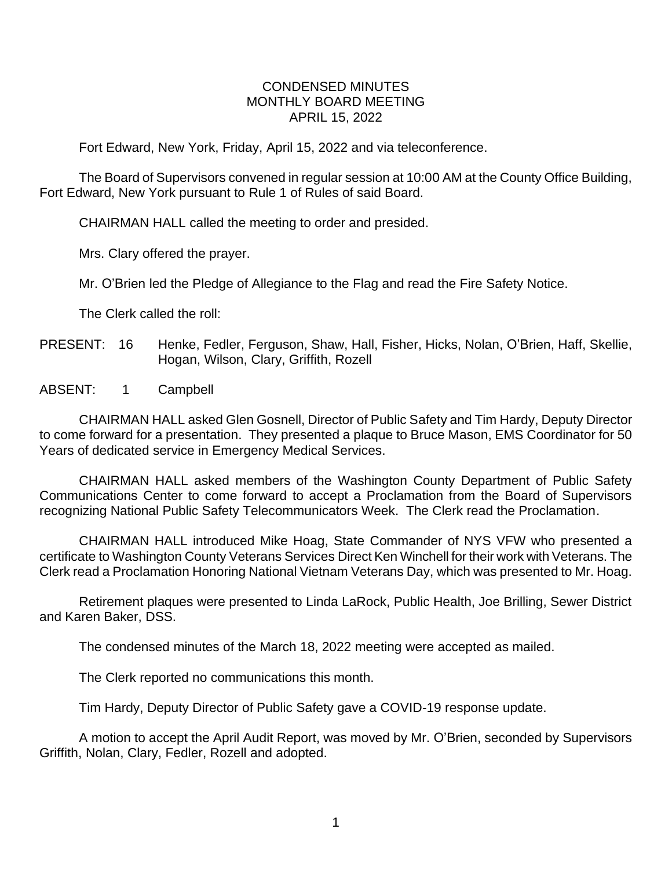## CONDENSED MINUTES MONTHLY BOARD MEETING APRIL 15, 2022

Fort Edward, New York, Friday, April 15, 2022 and via teleconference.

The Board of Supervisors convened in regular session at 10:00 AM at the County Office Building, Fort Edward, New York pursuant to Rule 1 of Rules of said Board.

CHAIRMAN HALL called the meeting to order and presided.

Mrs. Clary offered the prayer.

Mr. O'Brien led the Pledge of Allegiance to the Flag and read the Fire Safety Notice.

The Clerk called the roll:

## PRESENT: 16 Henke, Fedler, Ferguson, Shaw, Hall, Fisher, Hicks, Nolan, O'Brien, Haff, Skellie, Hogan, Wilson, Clary, Griffith, Rozell

ABSENT: 1 Campbell

CHAIRMAN HALL asked Glen Gosnell, Director of Public Safety and Tim Hardy, Deputy Director to come forward for a presentation. They presented a plaque to Bruce Mason, EMS Coordinator for 50 Years of dedicated service in Emergency Medical Services.

CHAIRMAN HALL asked members of the Washington County Department of Public Safety Communications Center to come forward to accept a Proclamation from the Board of Supervisors recognizing National Public Safety Telecommunicators Week. The Clerk read the Proclamation.

CHAIRMAN HALL introduced Mike Hoag, State Commander of NYS VFW who presented a certificate to Washington County Veterans Services Direct Ken Winchell for their work with Veterans. The Clerk read a Proclamation Honoring National Vietnam Veterans Day, which was presented to Mr. Hoag.

Retirement plaques were presented to Linda LaRock, Public Health, Joe Brilling, Sewer District and Karen Baker, DSS.

The condensed minutes of the March 18, 2022 meeting were accepted as mailed.

The Clerk reported no communications this month.

Tim Hardy, Deputy Director of Public Safety gave a COVID-19 response update.

A motion to accept the April Audit Report, was moved by Mr. O'Brien, seconded by Supervisors Griffith, Nolan, Clary, Fedler, Rozell and adopted.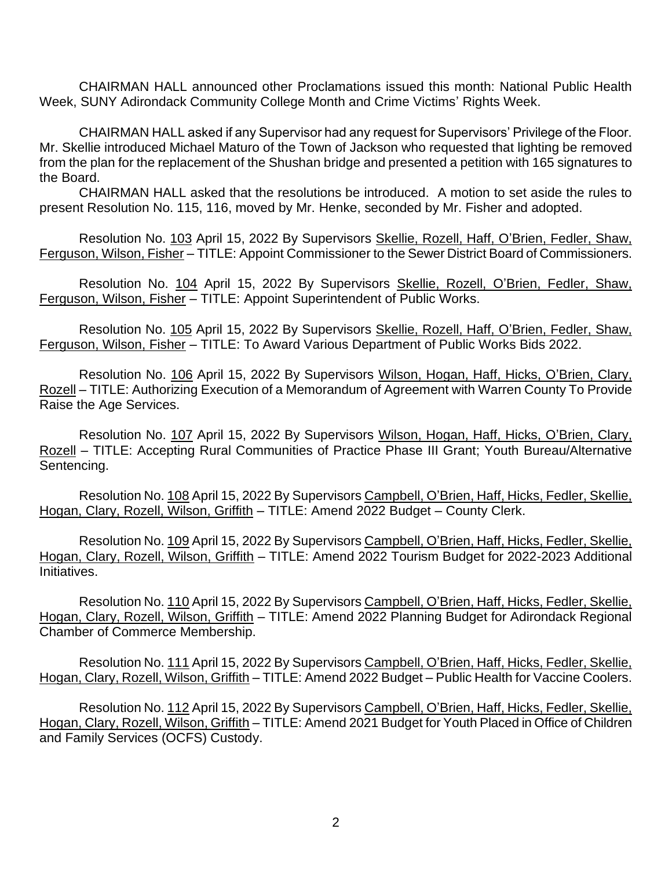CHAIRMAN HALL announced other Proclamations issued this month: National Public Health Week, SUNY Adirondack Community College Month and Crime Victims' Rights Week.

CHAIRMAN HALL asked if any Supervisor had any request for Supervisors' Privilege of the Floor. Mr. Skellie introduced Michael Maturo of the Town of Jackson who requested that lighting be removed from the plan for the replacement of the Shushan bridge and presented a petition with 165 signatures to the Board.

CHAIRMAN HALL asked that the resolutions be introduced. A motion to set aside the rules to present Resolution No. 115, 116, moved by Mr. Henke, seconded by Mr. Fisher and adopted.

Resolution No. 103 April 15, 2022 By Supervisors Skellie, Rozell, Haff, O'Brien, Fedler, Shaw, Ferguson, Wilson, Fisher – TITLE: Appoint Commissioner to the Sewer District Board of Commissioners.

Resolution No. 104 April 15, 2022 By Supervisors Skellie, Rozell, O'Brien, Fedler, Shaw, Ferguson, Wilson, Fisher – TITLE: Appoint Superintendent of Public Works.

Resolution No. 105 April 15, 2022 By Supervisors Skellie, Rozell, Haff, O'Brien, Fedler, Shaw, Ferguson, Wilson, Fisher – TITLE: To Award Various Department of Public Works Bids 2022.

Resolution No. 106 April 15, 2022 By Supervisors Wilson, Hogan, Haff, Hicks, O'Brien, Clary, Rozell – TITLE: Authorizing Execution of a Memorandum of Agreement with Warren County To Provide Raise the Age Services.

Resolution No. 107 April 15, 2022 By Supervisors Wilson, Hogan, Haff, Hicks, O'Brien, Clary, Rozell – TITLE: Accepting Rural Communities of Practice Phase III Grant; Youth Bureau/Alternative Sentencing.

Resolution No. 108 April 15, 2022 By Supervisors Campbell, O'Brien, Haff, Hicks, Fedler, Skellie, Hogan, Clary, Rozell, Wilson, Griffith – TITLE: Amend 2022 Budget – County Clerk.

Resolution No. 109 April 15, 2022 By Supervisors Campbell, O'Brien, Haff, Hicks, Fedler, Skellie, Hogan, Clary, Rozell, Wilson, Griffith – TITLE: Amend 2022 Tourism Budget for 2022-2023 Additional Initiatives.

Resolution No. 110 April 15, 2022 By Supervisors Campbell, O'Brien, Haff, Hicks, Fedler, Skellie, Hogan, Clary, Rozell, Wilson, Griffith – TITLE: Amend 2022 Planning Budget for Adirondack Regional Chamber of Commerce Membership.

Resolution No. 111 April 15, 2022 By Supervisors Campbell, O'Brien, Haff, Hicks, Fedler, Skellie, Hogan, Clary, Rozell, Wilson, Griffith – TITLE: Amend 2022 Budget – Public Health for Vaccine Coolers.

Resolution No. 112 April 15, 2022 By Supervisors Campbell, O'Brien, Haff, Hicks, Fedler, Skellie, Hogan, Clary, Rozell, Wilson, Griffith – TITLE: Amend 2021 Budget for Youth Placed in Office of Children and Family Services (OCFS) Custody.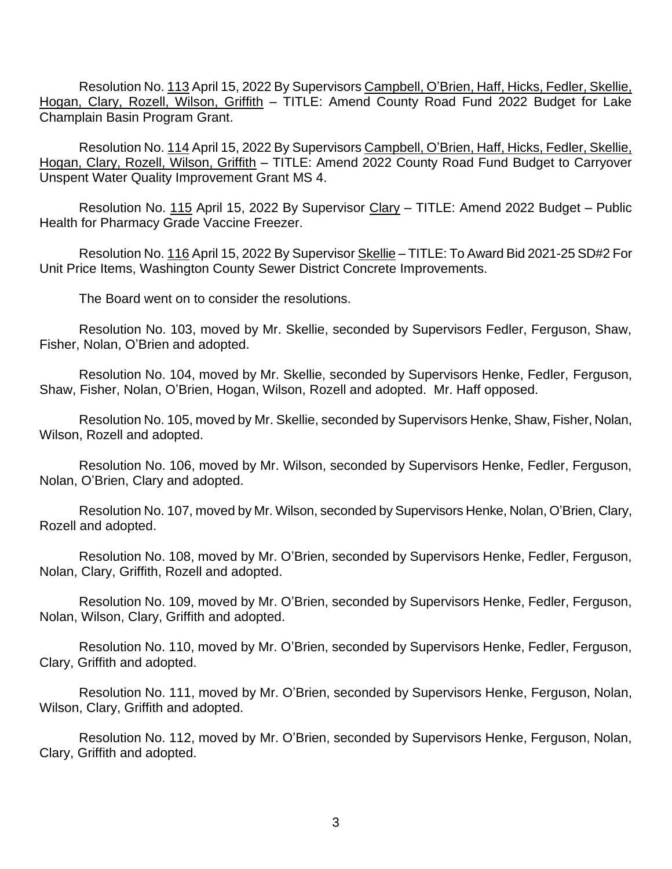Resolution No. 113 April 15, 2022 By Supervisors Campbell, O'Brien, Haff, Hicks, Fedler, Skellie, Hogan, Clary, Rozell, Wilson, Griffith – TITLE: Amend County Road Fund 2022 Budget for Lake Champlain Basin Program Grant.

Resolution No. 114 April 15, 2022 By Supervisors Campbell, O'Brien, Haff, Hicks, Fedler, Skellie, Hogan, Clary, Rozell, Wilson, Griffith – TITLE: Amend 2022 County Road Fund Budget to Carryover Unspent Water Quality Improvement Grant MS 4.

Resolution No. 115 April 15, 2022 By Supervisor Clary - TITLE: Amend 2022 Budget - Public Health for Pharmacy Grade Vaccine Freezer.

Resolution No. 116 April 15, 2022 By Supervisor Skellie – TITLE: To Award Bid 2021-25 SD#2 For Unit Price Items, Washington County Sewer District Concrete Improvements.

The Board went on to consider the resolutions.

Resolution No. 103, moved by Mr. Skellie, seconded by Supervisors Fedler, Ferguson, Shaw, Fisher, Nolan, O'Brien and adopted.

Resolution No. 104, moved by Mr. Skellie, seconded by Supervisors Henke, Fedler, Ferguson, Shaw, Fisher, Nolan, O'Brien, Hogan, Wilson, Rozell and adopted. Mr. Haff opposed.

Resolution No. 105, moved by Mr. Skellie, seconded by Supervisors Henke, Shaw, Fisher, Nolan, Wilson, Rozell and adopted.

Resolution No. 106, moved by Mr. Wilson, seconded by Supervisors Henke, Fedler, Ferguson, Nolan, O'Brien, Clary and adopted.

Resolution No. 107, moved by Mr. Wilson, seconded by Supervisors Henke, Nolan, O'Brien, Clary, Rozell and adopted.

Resolution No. 108, moved by Mr. O'Brien, seconded by Supervisors Henke, Fedler, Ferguson, Nolan, Clary, Griffith, Rozell and adopted.

Resolution No. 109, moved by Mr. O'Brien, seconded by Supervisors Henke, Fedler, Ferguson, Nolan, Wilson, Clary, Griffith and adopted.

Resolution No. 110, moved by Mr. O'Brien, seconded by Supervisors Henke, Fedler, Ferguson, Clary, Griffith and adopted.

Resolution No. 111, moved by Mr. O'Brien, seconded by Supervisors Henke, Ferguson, Nolan, Wilson, Clary, Griffith and adopted.

Resolution No. 112, moved by Mr. O'Brien, seconded by Supervisors Henke, Ferguson, Nolan, Clary, Griffith and adopted.